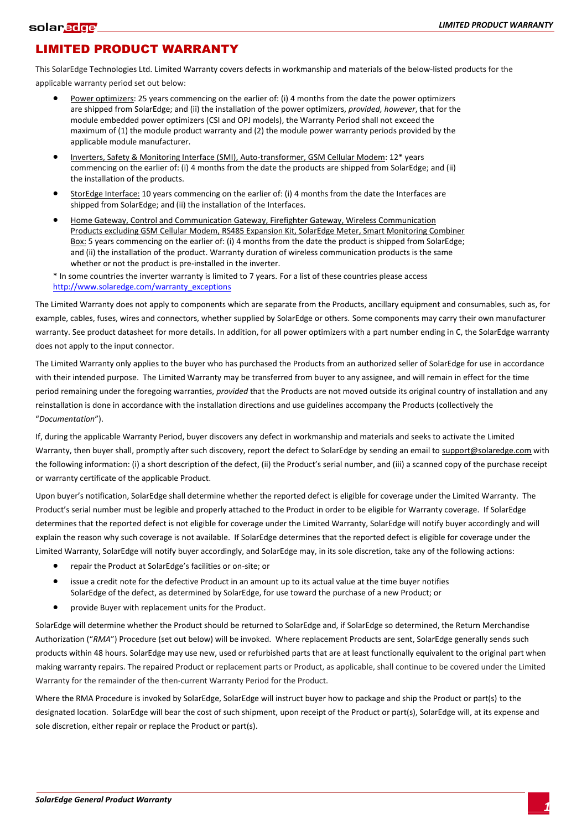## LIMITED PRODUCT WARRANTY

This SolarEdge Technologies Ltd. Limited Warranty covers defects in workmanship and materials of the below-listed products for the applicable warranty period set out below:

- Power optimizers: 25 years commencing on the earlier of: (i) 4 months from the date the power optimizers are shipped from SolarEdge; and (ii) the installation of the power optimizers, *provided, however*, that for the module embedded power optimizers (CSI and OPJ models), the Warranty Period shall not exceed the maximum of (1) the module product warranty and (2) the module power warranty periods provided by the applicable module manufacturer.
- Inverters, Safety & Monitoring Interface (SMI), Auto-transformer, GSM Cellular Modem: 12\* years commencing on the earlier of: (i) 4 months from the date the products are shipped from SolarEdge; and (ii) the installation of the products.
- StorEdge Interface: 10 years commencing on the earlier of: (i) 4 months from the date the Interfaces are shipped from SolarEdge; and (ii) the installation of the Interfaces.
- Home Gateway, Control and Communication Gateway, Firefighter Gateway, Wireless Communication Products excluding GSM Cellular Modem, RS485 Expansion Kit, SolarEdge Meter, Smart Monitoring Combiner Box: 5 years commencing on the earlier of: (i) 4 months from the date the product is shipped from SolarEdge; and (ii) the installation of the product. Warranty duration of wireless communication products is the same whether or not the product is pre-installed in the inverter.

\* In some countries the inverter warranty is limited to 7 years. For a list of these countries please access [http://www.solaredge.com/warranty\\_exceptions](http://www.solaredge.com/warranty_exceptions)

The Limited Warranty does not apply to components which are separate from the Products, ancillary equipment and consumables, such as, for example, cables, fuses, wires and connectors, whether supplied by SolarEdge or others. Some components may carry their own manufacturer warranty. See product datasheet for more details. In addition, for all power optimizers with a part number ending in C, the SolarEdge warranty does not apply to the input connector.

The Limited Warranty only applies to the buyer who has purchased the Products from an authorized seller of SolarEdge for use in accordance with their intended purpose. The Limited Warranty may be transferred from buyer to any assignee, and will remain in effect for the time period remaining under the foregoing warranties, *provided* that the Products are not moved outside its original country of installation and any reinstallation is done in accordance with the installation directions and use guidelines accompany the Products (collectively the "*Documentation*").

If, during the applicable Warranty Period, buyer discovers any defect in workmanship and materials and seeks to activate the Limited Warranty, then buyer shall, promptly after such discovery, report the defect to SolarEdge by sending an email to support@solaredge.com with the following information: (i) a short description of the defect, (ii) the Product's serial number, and (iii) a scanned copy of the purchase receipt or warranty certificate of the applicable Product.

Upon buyer's notification, SolarEdge shall determine whether the reported defect is eligible for coverage under the Limited Warranty. The Product's serial number must be legible and properly attached to the Product in order to be eligible for Warranty coverage. If SolarEdge determines that the reported defect is not eligible for coverage under the Limited Warranty, SolarEdge will notify buyer accordingly and will explain the reason why such coverage is not available. If SolarEdge determines that the reported defect is eligible for coverage under the Limited Warranty, SolarEdge will notify buyer accordingly, and SolarEdge may, in its sole discretion, take any of the following actions:

- repair the Product at SolarEdge's facilities or on-site; or
- issue a credit note for the defective Product in an amount up to its actual value at the time buyer notifies SolarEdge of the defect, as determined by SolarEdge, for use toward the purchase of a new Product; or
- provide Buyer with replacement units for the Product.

SolarEdge will determine whether the Product should be returned to SolarEdge and, if SolarEdge so determined, the Return Merchandise Authorization ("*RMA*") Procedure (set out below) will be invoked. Where replacement Products are sent, SolarEdge generally sends such products within 48 hours. SolarEdge may use new, used or refurbished parts that are at least functionally equivalent to the original part when making warranty repairs. The repaired Product or replacement parts or Product, as applicable, shall continue to be covered under the Limited Warranty for the remainder of the then-current Warranty Period for the Product.

Where the RMA Procedure is invoked by SolarEdge, SolarEdge will instruct buyer how to package and ship the Product or part(s) to the designated location. SolarEdge will bear the cost of such shipment, upon receipt of the Product or part(s), SolarEdge will, at its expense and sole discretion, either repair or replace the Product or part(s).